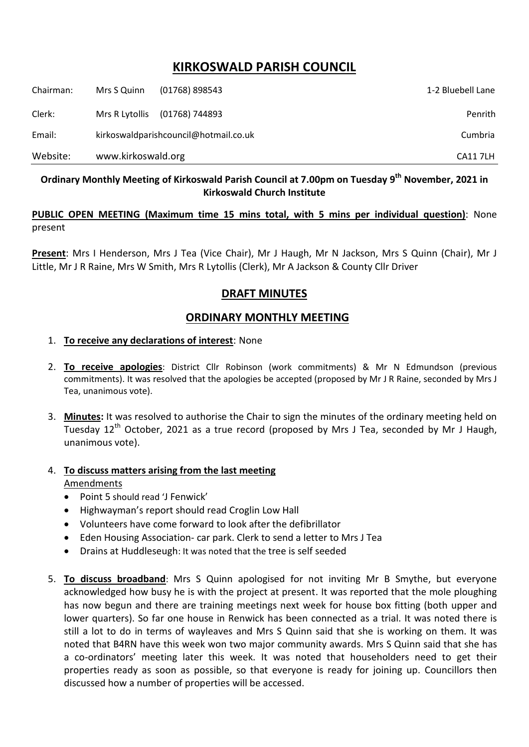# **KIRKOSWALD PARISH COUNCIL**

| Chairman: | Mrs S Quinn                           | $(01768)$ 898543 | 1-2 Bluebell Lane |
|-----------|---------------------------------------|------------------|-------------------|
| Clerk:    | Mrs R Lytollis                        | (01768) 744893   | Penrith           |
| Email:    | kirkoswaldparishcouncil@hotmail.co.uk |                  | Cumbria           |
| Website:  | www.kirkoswald.org                    |                  | CA11 7LH          |

## **Ordinary Monthly Meeting of Kirkoswald Parish Council at 7.00pm on Tuesday 9 th November, 2021 in Kirkoswald Church Institute**

### **PUBLIC OPEN MEETING (Maximum time 15 mins total, with 5 mins per individual question)**: None present

**Present**: Mrs I Henderson, Mrs J Tea (Vice Chair), Mr J Haugh, Mr N Jackson, Mrs S Quinn (Chair), Mr J Little, Mr J R Raine, Mrs W Smith, Mrs R Lytollis (Clerk), Mr A Jackson & County Cllr Driver

## **DRAFT MINUTES**

## **ORDINARY MONTHLY MEETING**

#### 1. **To receive any declarations of interest**: None

- 2. **To receive apologies**: District Cllr Robinson (work commitments) & Mr N Edmundson (previous commitments). It was resolved that the apologies be accepted (proposed by Mr J R Raine, seconded by Mrs J Tea, unanimous vote).
- 3. **Minutes:** It was resolved to authorise the Chair to sign the minutes of the ordinary meeting held on Tuesday 12<sup>th</sup> October, 2021 as a true record (proposed by Mrs J Tea, seconded by Mr J Haugh, unanimous vote).
- 4. **To discuss matters arising from the last meeting**

#### Amendments

- Point 5 should read 'J Fenwick'
- Highwayman's report should read Croglin Low Hall
- Volunteers have come forward to look after the defibrillator
- Eden Housing Association- car park. Clerk to send a letter to Mrs J Tea
- Drains at Huddleseugh: It was noted that the tree is self seeded
- 5. **To discuss broadband**: Mrs S Quinn apologised for not inviting Mr B Smythe, but everyone acknowledged how busy he is with the project at present. It was reported that the mole ploughing has now begun and there are training meetings next week for house box fitting (both upper and lower quarters). So far one house in Renwick has been connected as a trial. It was noted there is still a lot to do in terms of wayleaves and Mrs S Quinn said that she is working on them. It was noted that B4RN have this week won two major community awards. Mrs S Quinn said that she has a co-ordinators' meeting later this week. It was noted that householders need to get their properties ready as soon as possible, so that everyone is ready for joining up. Councillors then discussed how a number of properties will be accessed.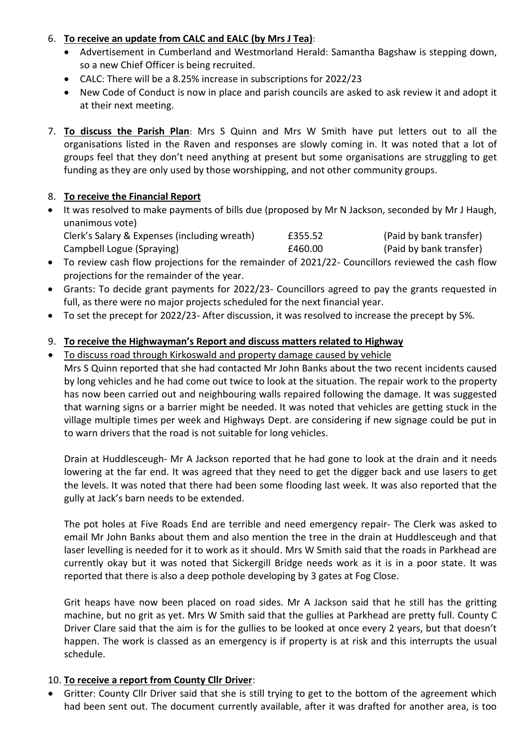## 6. **To receive an update from CALC and EALC (by Mrs J Tea)**:

- Advertisement in Cumberland and Westmorland Herald: Samantha Bagshaw is stepping down, so a new Chief Officer is being recruited.
- CALC: There will be a 8.25% increase in subscriptions for 2022/23
- New Code of Conduct is now in place and parish councils are asked to ask review it and adopt it at their next meeting.
- 7. **To discuss the Parish Plan**: Mrs S Quinn and Mrs W Smith have put letters out to all the organisations listed in the Raven and responses are slowly coming in. It was noted that a lot of groups feel that they don't need anything at present but some organisations are struggling to get funding as they are only used by those worshipping, and not other community groups.

## 8. **To receive the Financial Report**

- It was resolved to make payments of bills due (proposed by Mr N Jackson, seconded by Mr J Haugh, unanimous vote) Clerk's Salary & Expenses (including wreath) £355.52 (Paid by bank transfer)
	- Campbell Logue (Spraying) £460.00 (Paid by bank transfer)
- To review cash flow projections for the remainder of 2021/22- Councillors reviewed the cash flow projections for the remainder of the year.
- Grants: To decide grant payments for 2022/23- Councillors agreed to pay the grants requested in full, as there were no major projects scheduled for the next financial year.
- To set the precept for 2022/23- After discussion, it was resolved to increase the precept by 5%.

## 9. **To receive the Highwayman's Report and discuss matters related to Highway**

To discuss road through Kirkoswald and property damage caused by vehicle

Mrs S Quinn reported that she had contacted Mr John Banks about the two recent incidents caused by long vehicles and he had come out twice to look at the situation. The repair work to the property has now been carried out and neighbouring walls repaired following the damage. It was suggested that warning signs or a barrier might be needed. It was noted that vehicles are getting stuck in the village multiple times per week and Highways Dept. are considering if new signage could be put in to warn drivers that the road is not suitable for long vehicles.

Drain at Huddlesceugh- Mr A Jackson reported that he had gone to look at the drain and it needs lowering at the far end. It was agreed that they need to get the digger back and use lasers to get the levels. It was noted that there had been some flooding last week. It was also reported that the gully at Jack's barn needs to be extended.

The pot holes at Five Roads End are terrible and need emergency repair- The Clerk was asked to email Mr John Banks about them and also mention the tree in the drain at Huddlesceugh and that laser levelling is needed for it to work as it should. Mrs W Smith said that the roads in Parkhead are currently okay but it was noted that Sickergill Bridge needs work as it is in a poor state. It was reported that there is also a deep pothole developing by 3 gates at Fog Close.

Grit heaps have now been placed on road sides. Mr A Jackson said that he still has the gritting machine, but no grit as yet. Mrs W Smith said that the gullies at Parkhead are pretty full. County C Driver Clare said that the aim is for the gullies to be looked at once every 2 years, but that doesn't happen. The work is classed as an emergency is if property is at risk and this interrupts the usual schedule.

#### 10. **To receive a report from County Cllr Driver**:

 Gritter: County Cllr Driver said that she is still trying to get to the bottom of the agreement which had been sent out. The document currently available, after it was drafted for another area, is too